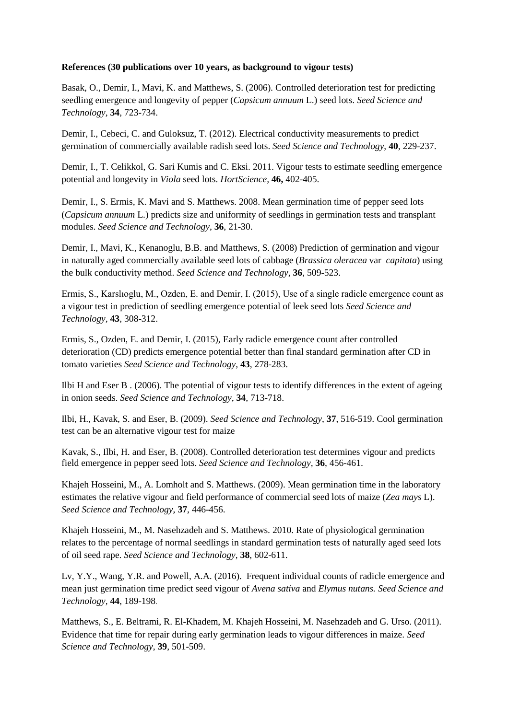## **References (30 publications over 10 years, as background to vigour tests)**

Basak, O., Demir, I., Mavi, K. and Matthews, S. (2006). Controlled deterioration test for predicting seedling emergence and longevity of pepper (*Capsicum annuum* L.) seed lots. *Seed Science and Technology*, **34**, 723-734.

Demir, I., Cebeci, C. and Guloksuz, T. (2012). Electrical conductivity measurements to predict germination of commercially available radish seed lots. *Seed Science and Technology*, **40**, 229-237.

Demir, I., T. Celikkol, G. Sari Kumis and C. Eksi. 2011. Vigour tests to estimate seedling emergence potential and longevity in *Viola* seed lots. *HortScience,* **46,** 402-405.

Demir, I., S. Ermis, K. Mavi and S. Matthews. 2008. Mean germination time of pepper seed lots (*Capsicum annuum* L.) predicts size and uniformity of seedlings in germination tests and transplant modules. *Seed Science and Technology*, **36**, 21-30.

Demir, I., Mavi, K., Kenanoglu, B.B. and Matthews, S. (2008) Prediction of germination and vigour in naturally aged commercially available seed lots of cabbage (*Brassica oleracea* var *capitata*) using the bulk conductivity method. *Seed Science and Technology*, **36**, 509-523.

Ermis, S., Karslıoglu, M., Ozden, E. and Demir, I. (2015), Use of a single radicle emergence count as a vigour test in prediction of seedling emergence potential of leek seed lots *Seed Science and Technology,* **43**, 308-312.

Ermis, S., Ozden, E. and Demir, I. (2015), Early radicle emergence count after controlled deterioration (CD) predicts emergence potential better than final standard germination after CD in tomato varieties *Seed Science and Technology,* **43**, 278-283.

Ilbi H and Eser B . (2006). The potential of vigour tests to identify differences in the extent of ageing in onion seeds. *Seed Science and Technology*, **34**, 713-718.

Ilbi, H., Kavak, S. and Eser, B. (2009). *Seed Science and Technology*, **37**, 516-519. Cool germination test can be an alternative vigour test for maize

Kavak, S., Ilbi, H. and Eser, B. (2008). Controlled deterioration test determines vigour and predicts field emergence in pepper seed lots. *Seed Science and Technology,* **36**, 456-461.

Khajeh Hosseini, M., A. Lomholt and S. Matthews. (2009). Mean germination time in the laboratory estimates the relative vigour and field performance of commercial seed lots of maize (*Zea mays* L). *Seed Science and Technology*, **37**, 446-456.

Khajeh Hosseini, M., M. Nasehzadeh and S. Matthews. 2010. Rate of physiological germination relates to the percentage of normal seedlings in standard germination tests of naturally aged seed lots of oil seed rape. *Seed Science and Technology*, **38**, 602-611.

Lv, Y.Y., Wang, Y.R. and Powell, A.A. (2016). Frequent individual counts of radicle emergence and mean just germination time predict seed vigour of *Avena sativa* and *Elymus nutans. Seed Science and Technology,* **44**, 189-198.

Matthews, S., E. Beltrami, R. El-Khadem, M. Khajeh Hosseini, M. Nasehzadeh and G. Urso. (2011). Evidence that time for repair during early germination leads to vigour differences in maize. *Seed Science and Technology*, **39**, 501-509.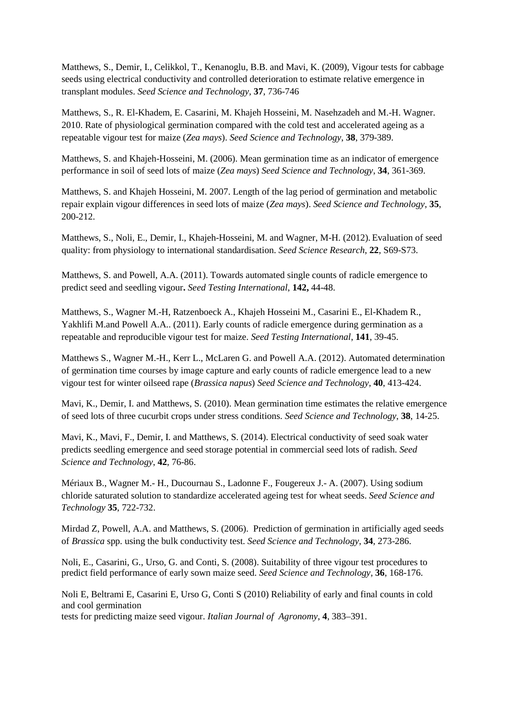Matthews, S., Demir, I., Celikkol, T., Kenanoglu, B.B. and Mavi, K. (2009), Vigour tests for cabbage seeds using electrical conductivity and controlled deterioration to estimate relative emergence in transplant modules. *Seed Science and Technology,* **37**, 736-746

Matthews, S., R. El-Khadem, E. Casarini, M. Khajeh Hosseini, M. Nasehzadeh and M.-H. Wagner. 2010. Rate of physiological germination compared with the cold test and accelerated ageing as a repeatable vigour test for maize (*Zea mays*). *Seed Science and Technology*, **38**, 379-389.

Matthews, S. and Khajeh-Hosseini, M. (2006). Mean germination time as an indicator of emergence performance in soil of seed lots of maize (*Zea mays*) *Seed Science and Technology*, **34**, 361-369.

Matthews, S. and Khajeh Hosseini, M. 2007. Length of the lag period of germination and metabolic repair explain vigour differences in seed lots of maize (*Zea mays*). *Seed Science and Technology*, **35**, 200-212.

Matthews, S., Noli, E., Demir, I., Khajeh-Hosseini, M. and Wagner, M-H. (2012). Evaluation of seed quality: from physiology to international standardisation. *Seed Science Research*, **22**, S69-S73.

Matthews, S. and Powell, A.A. (2011). Towards automated single counts of radicle emergence to predict seed and seedling vigour**.** *Seed Testing International*, **142,** 44-48.

Matthews, S., Wagner M.-H, Ratzenboeck A., Khajeh Hosseini M., Casarini E., El-Khadem R., Yakhlifi M.and Powell A.A.. (2011). Early counts of radicle emergence during germination as a repeatable and reproducible vigour test for maize. *Seed Testing International*, **141**, 39-45.

Matthews S., Wagner M.-H., Kerr L., McLaren G. and Powell A.A. (2012). Automated determination of germination time courses by image capture and early counts of radicle emergence lead to a new vigour test for winter oilseed rape (*Brassica napus*) *Seed Science and Technology,* **40**, 413-424.

Mavi, K., Demir, I. and Matthews, S. (2010). Mean germination time estimates the relative emergence of seed lots of three cucurbit crops under stress conditions. *Seed Science and Technology*, **38**, 14-25.

Mavi, K., Mavi, F., Demir, I. and Matthews, S. (2014). Electrical conductivity of seed soak water predicts seedling emergence and seed storage potential in commercial seed lots of radish. *Seed Science and Technology*, **42**, 76-86.

Mériaux B., Wagner M.- H., Ducournau S., Ladonne F., Fougereux J.- A. (2007). Using sodium chloride saturated solution to standardize accelerated ageing test for wheat seeds. *Seed Science and Technology* **35**, 722-732.

Mirdad Z, Powell, A.A. and Matthews, S. (2006). Prediction of germination in artificially aged seeds of *Brassica* spp. using the bulk conductivity test. *Seed Science and Technology*, **34**, 273-286.

Noli, E., Casarini, G., Urso, G. and Conti, S. (2008). Suitability of three vigour test procedures to predict field performance of early sown maize seed. *Seed Science and Technology,* **36**, 168-176.

Noli E, Beltrami E, Casarini E, Urso G, Conti S (2010) Reliability of early and final counts in cold and cool germination tests for predicting maize seed vigour. *Italian Journal of Agronomy*, **4**, 383–391.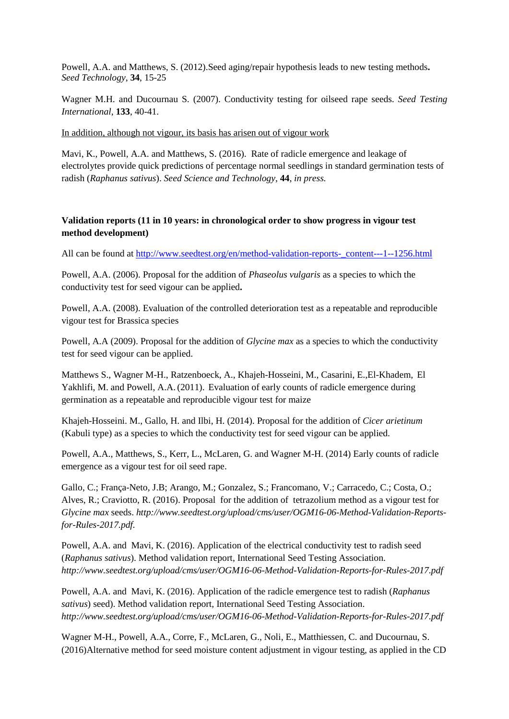Powell, A.A. and Matthews, S. (2012).Seed aging/repair hypothesis leads to new testing methods**.**  *Seed Technology*, **34**, 15-25

Wagner M.H. and Ducournau S. (2007). Conductivity testing for oilseed rape seeds. *Seed Testing International*, **133**, 40-41.

In addition, although not vigour, its basis has arisen out of vigour work

Mavi, K., Powell, A.A. and Matthews, S. (2016). Rate of radicle emergence and leakage of electrolytes provide quick predictions of percentage normal seedlings in standard germination tests of radish (*Raphanus sativus*). *Seed Science and Technology*, **44**, *in press.*

## **Validation reports (11 in 10 years: in chronological order to show progress in vigour test method development)**

All can be found at http://www.seedtest.org/en/method-validation-reports-content---1--1256.html

Powell, A.A. (2006). Proposal for the addition of *Phaseolus vulgaris* as a species to which the conductivity test for seed vigour can be applied**.**

Powell, A.A. (2008). Evaluation of the controlled deterioration test as a repeatable and reproducible vigour test for Brassica species

Powell, A.A (2009). Proposal for the addition of *Glycine max* as a species to which the conductivity test for seed vigour can be applied.

Matthews S., Wagner M-H., Ratzenboeck, A., Khajeh-Hosseini, M., Casarini, E.,El-Khadem, El Yakhlifi, M. and Powell, A.A.(2011). Evaluation of early counts of radicle emergence during germination as a repeatable and reproducible vigour test for maize

Khajeh-Hosseini. M., Gallo, H. and Ilbi, H. (2014). Proposal for the addition of *Cicer arietinum* (Kabuli type) as a species to which the conductivity test for seed vigour can be applied.

Powell, A.A., Matthews, S., Kerr, L., McLaren, G. and Wagner M-H. (2014) Early counts of radicle emergence as a vigour test for oil seed rape.

Gallo, C.; França-Neto, J.B; Arango, M.; Gonzalez, S.; Francomano, V.; Carracedo, C.; Costa, O.; Alves, R.; Craviotto, R. (2016). Proposal for the addition of tetrazolium method as a vigour test for *Glycine max* seeds. *http://www.seedtest.org/upload/cms/user/OGM16-06-Method-Validation-Reportsfor-Rules-2017.pdf.*

Powell, A.A. and Mavi, K. (2016). Application of the electrical conductivity test to radish seed (*Raphanus sativus*). Method validation report, International Seed Testing Association. *http://www.seedtest.org/upload/cms/user/OGM16-06-Method-Validation-Reports-for-Rules-2017.pdf*

Powell, A.A. and Mavi, K. (2016). Application of the radicle emergence test to radish (*Raphanus sativus*) seed). Method validation report, International Seed Testing Association. *http://www.seedtest.org/upload/cms/user/OGM16-06-Method-Validation-Reports-for-Rules-2017.pdf*

Wagner M-H., Powell, A.A., Corre, F., McLaren, G., Noli, E., Matthiessen, C. and Ducournau, S. (2016)Alternative method for seed moisture content adjustment in vigour testing, as applied in the CD